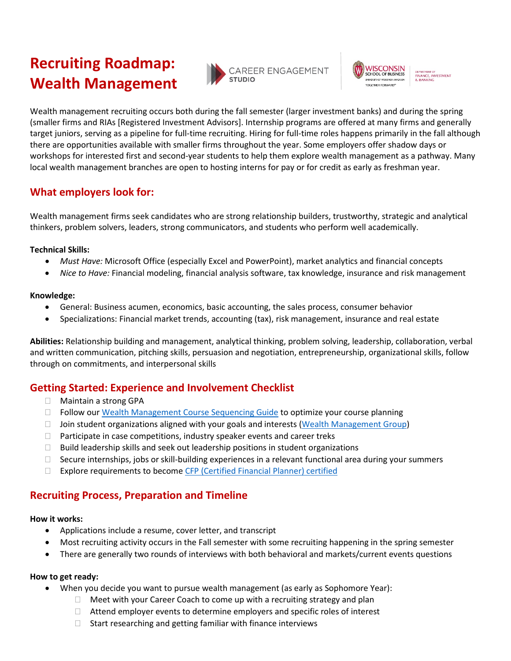# **Recruiting Roadmap: Wealth Management**





department of<br>FINANCE, INVESTMENT<br>& BANKING

Wealth management recruiting occurs both during the fall semester (larger investment banks) and during the spring (smaller firms and RIAs [Registered Investment Advisors]. Internship programs are offered at many firms and generally target juniors, serving as a pipeline for full-time recruiting. Hiring for full-time roles happens primarily in the fall although there are opportunities available with smaller firms throughout the year. Some employers offer shadow days or workshops for interested first and second-year students to help them explore wealth management as a pathway. Many local wealth management branches are open to hosting interns for pay or for credit as early as freshman year.

# **What employers look for:**

Wealth management firms seek candidates who are strong relationship builders, trustworthy, strategic and analytical thinkers, problem solvers, leaders, strong communicators, and students who perform well academically.

## **Technical Skills:**

- *Must Have:* Microsoft Office (especially Excel and PowerPoint), market analytics and financial concepts
- *Nice to Have:* Financial modeling, financial analysis software, tax knowledge, insurance and risk management

## **Knowledge:**

- General: Business acumen, economics, basic accounting, the sales process, consumer behavior
- Specializations: Financial market trends, accounting (tax), risk management, insurance and real estate

**Abilities:** Relationship building and management, analytical thinking, problem solving, leadership, collaboration, verbal and written communication, pitching skills, persuasion and negotiation, entrepreneurship, organizational skills, follow through on commitments, and interpersonal skills

# **Getting Started: Experience and Involvement Checklist**

- □ Maintain a strong GPA
- □ Follow our [Wealth Management Course Sequencing Guide](https://mycareer.wsb.wisc.edu/wp-content/uploads/sites/1044/2021/03/4YRCourse-Sequencing-Guide-Wealth-Management.pdf) to optimize your course planning
- $\Box$  Join student organizations aligned with your goals and interests [\(Wealth Management Group\)](https://win.wisc.edu/organization/WMG)
- $\Box$  Participate in case competitions, industry speaker events and career treks
- $\Box$  Build leadership skills and seek out leadership positions in student organizations
- $\Box$  Secure internships, jobs or skill-building experiences in a relevant functional area during your summers
- $\Box$  Explore requirements to becom[e CFP \(Certified Financial Planner\) certified](https://www.cfp.net/)

# **Recruiting Process, Preparation and Timeline**

#### **How it works:**

- Applications include a resume, cover letter, and transcript
- Most recruiting activity occurs in the Fall semester with some recruiting happening in the spring semester
- There are generally two rounds of interviews with both behavioral and markets/current events questions

## **How to get ready:**

- When you decide you want to pursue wealth management (as early as Sophomore Year):
	- $\Box$  Meet with your Career Coach to come up with a recruiting strategy and plan
	- $\Box$  Attend employer events to determine employers and specific roles of interest
	- $\Box$  Start researching and getting familiar with finance interviews